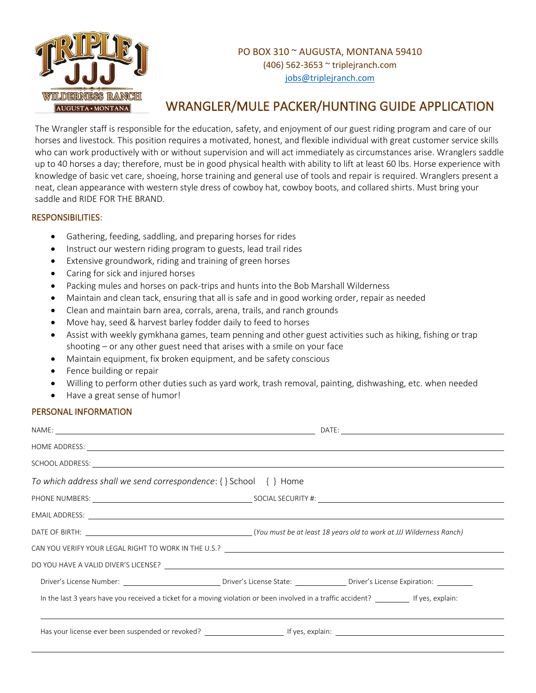

## PO BOX 310 ~ AUGUSTA, MONTANA 59410 (406) 562-3653 ~ triplejranch.com [jobs@triplejranch.com](mailto:jobs@triplejranch.com)

## WRANGLER/MULE PACKER/HUNTING GUIDE APPLICATION

The Wrangler staff is responsible for the education, safety, and enjoyment of our guest riding program and care of our horses and livestock. This position requires a motivated, honest, and flexible individual with great customer service skills who can work productively with or without supervision and will act immediately as circumstances arise. Wranglers saddle up to 40 horses a day; therefore, must be in good physical health with ability to lift at least 60 lbs. Horse experience with knowledge of basic vet care, shoeing, horse training and general use of tools and repair is required. Wranglers present a neat, clean appearance with western style dress of cowboy hat, cowboy boots, and collared shirts. Must bring your saddle and RIDE FOR THE BRAND.

## RESPONSIBILITIES:

- Gathering, feeding, saddling, and preparing horses for rides
- Instruct our western riding program to guests, lead trail rides
- Extensive groundwork, riding and training of green horses
- Caring for sick and injured horses
- Packing mules and horses on pack-trips and hunts into the Bob Marshall Wilderness
- Maintain and clean tack, ensuring that all is safe and in good working order, repair as needed
- Clean and maintain barn area, corrals, arena, trails, and ranch grounds
- Move hay, seed & harvest barley fodder daily to feed to horses
- Assist with weekly gymkhana games, team penning and other guest activities such as hiking, fishing or trap shooting – or any other guest need that arises with a smile on your face
- Maintain equipment, fix broken equipment, and be safety conscious
- Fence building or repair
- Willing to perform other duties such as yard work, trash removal, painting, dishwashing, etc. when needed
- Have a great sense of humor!

## PERSONAL INFORMATION

| HOME ADDRESS: New York Contract the Contract of the Contract of the Contract of the Contract of the Contract of the Contract of the Contract of the Contract of the Contract of the Contract of the Contract of the Contract o       |  |
|--------------------------------------------------------------------------------------------------------------------------------------------------------------------------------------------------------------------------------------|--|
| SCHOOL ADDRESS: <u>New York Communications and the set of the set of the set of the set of the set of the set of the set of the set of the set of the set of the set of the set of the set of the set of the set of the set of t</u> |  |
| To which address shall we send correspondence: $\{\}$ School $\{\}$ Home                                                                                                                                                             |  |
|                                                                                                                                                                                                                                      |  |
| EMAIL ADDRESS: <u>example and a series of the series of the series of the series of the series of the series of the series of the series of the series of the series of the series of the series of the series of the series of </u> |  |
|                                                                                                                                                                                                                                      |  |
| CAN YOU VERIFY YOUR LEGAL RIGHT TO WORK IN THE U.S.? NORTHALL AND THE U.S. AND THE U.S. AND THE U.S. AND THE U.S. A                                                                                                                  |  |
|                                                                                                                                                                                                                                      |  |
|                                                                                                                                                                                                                                      |  |
| In the last 3 years have you received a ticket for a moving violation or been involved in a traffic accident?                                                                                                                        |  |
|                                                                                                                                                                                                                                      |  |
|                                                                                                                                                                                                                                      |  |
|                                                                                                                                                                                                                                      |  |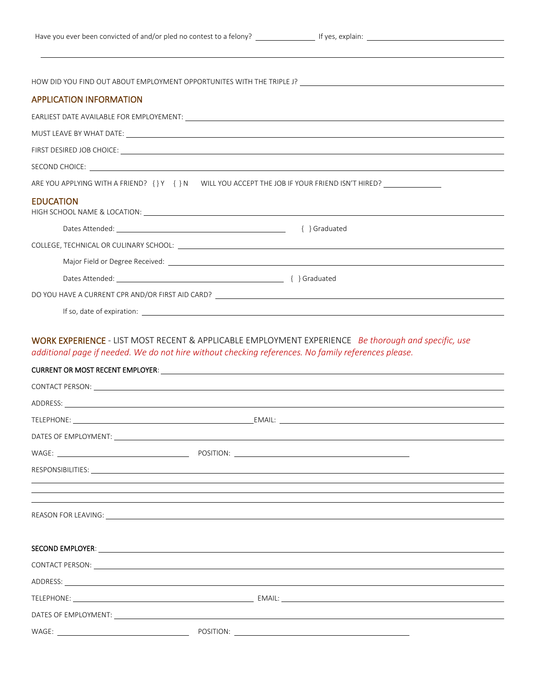HOW DID YOU FIND OUT ABOUT EMPLOYMENT OPPORTUNITES WITH THE TRIPLE J? APPLICATION INFORMATION EARLIEST DATE AVAILABLE FOR EMPLOYEMENT: MUST LEAVE BY WHAT DATE: FIRST DESIRED JOB CHOICE: SECOND CHOICE: ARE YOU APPLYING WITH A FRIEND? { } Y { } N WILL YOU ACCEPT THE JOB IF YOUR FRIEND ISN'T HIRED? **EDUCATION** HIGH SCHOOL NAME & LOCATION: Dates Attended: { } Graduated COLLEGE, TECHNICAL OR CULINARY SCHOOL: Major Field or Degree Received: Dates Attended: { } Graduated DO YOU HAVE A CURRENT CPR AND/OR FIRST AID CARD? If so, date of expiration: WORK EXPERIENCE - LIST MOST RECENT & APPLICABLE EMPLOYMENT EXPERIENCE *Be thorough and specific, use additional page if needed. We do not hire without checking references. No family references please.* CURRENT OR MOST RECENT EMPLOYER: CONTACT PERSON: ADDRESS: TELEPHONE: EMAIL: DATES OF EMPLOYMENT: WAGE: POSITION: RESPONSIBILITIES: REASON FOR LEAVING:

| ADDRESS: New York Contract the Contract of the Contract of the Contract of the Contract of the Contract of the Contract of the Contract of the Contract of the Contract of the Contract of the Contract of the Contract of the |  |  |  |
|--------------------------------------------------------------------------------------------------------------------------------------------------------------------------------------------------------------------------------|--|--|--|
|                                                                                                                                                                                                                                |  |  |  |
|                                                                                                                                                                                                                                |  |  |  |
| WAGE:                                                                                                                                                                                                                          |  |  |  |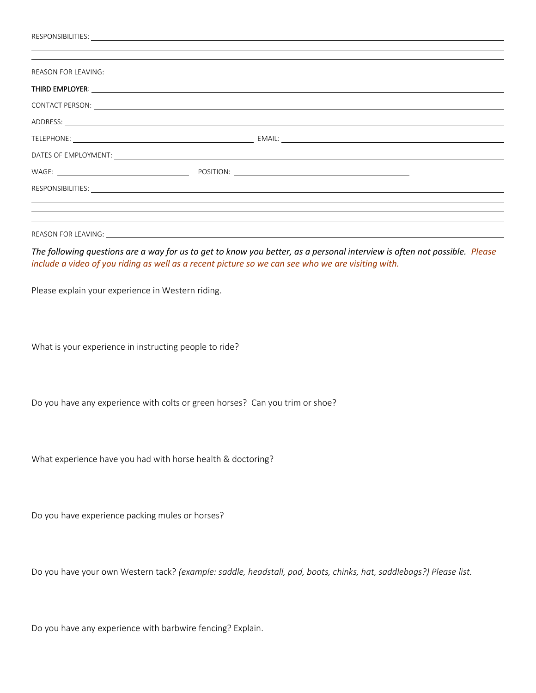|                                                   | THIRD EMPLOYER: We are also assessed to the contract of the contract of the contract of the contract of the contract of the contract of the contract of the contract of the contract of the contract of the contract of the co |
|---------------------------------------------------|--------------------------------------------------------------------------------------------------------------------------------------------------------------------------------------------------------------------------------|
|                                                   |                                                                                                                                                                                                                                |
|                                                   | ADDRESS: And the contract of the contract of the contract of the contract of the contract of the contract of the contract of the contract of the contract of the contract of the contract of the contract of the contract of t |
|                                                   |                                                                                                                                                                                                                                |
|                                                   |                                                                                                                                                                                                                                |
|                                                   |                                                                                                                                                                                                                                |
|                                                   |                                                                                                                                                                                                                                |
|                                                   |                                                                                                                                                                                                                                |
|                                                   | ,我们也不会有什么?""我们的人,我们也不会有什么?""我们的人,我们也不会有什么?""我们的人,我们也不会有什么?""我们的人,我们也不会有什么?""我们的人                                                                                                                                               |
|                                                   |                                                                                                                                                                                                                                |
|                                                   | The following questions are a way for us to get to know you better, as a personal interview is often not possible. Please<br>include a video of you riding as well as a recent picture so we can see who we are visiting with. |
| Please explain your experience in Western riding. |                                                                                                                                                                                                                                |

What is your experience in instructing people to ride?

Do you have any experience with colts or green horses? Can you trim or shoe?

What experience have you had with horse health & doctoring?

Do you have experience packing mules or horses?

Do you have your own Western tack? *(example: saddle, headstall, pad, boots, chinks, hat, saddlebags?) Please list.*

Do you have any experience with barbwire fencing? Explain.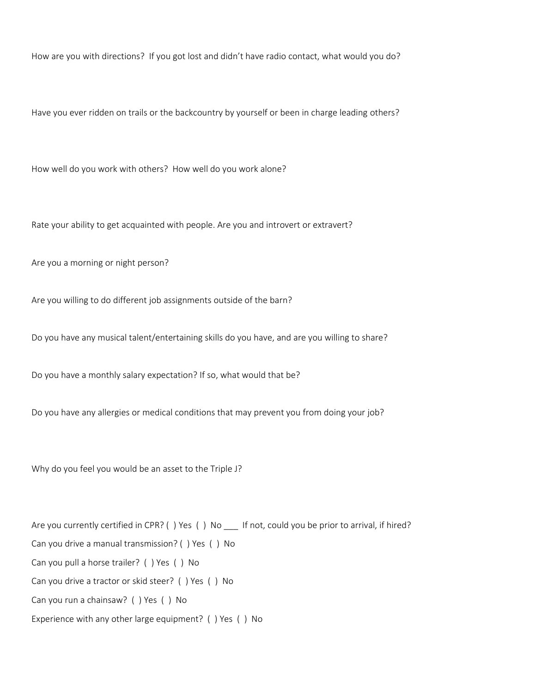How are you with directions? If you got lost and didn't have radio contact, what would you do?

Have you ever ridden on trails or the backcountry by yourself or been in charge leading others?

How well do you work with others? How well do you work alone?

Rate your ability to get acquainted with people. Are you and introvert or extravert?

Are you a morning or night person?

Are you willing to do different job assignments outside of the barn?

Do you have any musical talent/entertaining skills do you have, and are you willing to share?

Do you have a monthly salary expectation? If so, what would that be?

Do you have any allergies or medical conditions that may prevent you from doing your job?

Why do you feel you would be an asset to the Triple J?

Are you currently certified in CPR? () Yes () No \_\_\_ If not, could you be prior to arrival, if hired? Can you drive a manual transmission? ( ) Yes ( ) No Can you pull a horse trailer? ( ) Yes ( ) No Can you drive a tractor or skid steer? ( ) Yes ( ) No Can you run a chainsaw? ( ) Yes ( ) No Experience with any other large equipment? ( ) Yes ( ) No